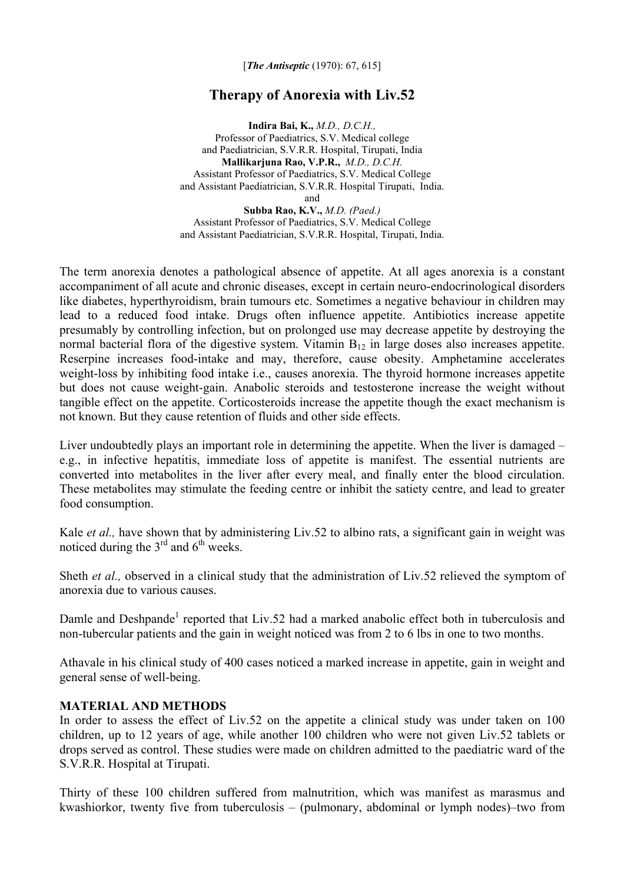[*The Antiseptic* (1970): 67, 615]

# **Therapy of Anorexia with Liv.52**

**Indira Bai, K.,** *M.D., D.C.H.,*  Professor of Paediatrics, S.V. Medical college and Paediatrician, S.V.R.R. Hospital, Tirupati, India **Mallikarjuna Rao, V.P.R.,** *M.D., D.C.H.* Assistant Professor of Paediatrics, S.V. Medical College and Assistant Paediatrician, S.V.R.R. Hospital Tirupati, India. and

**Subba Rao, K.V.,** *M.D. (Paed.)* Assistant Professor of Paediatrics, S.V. Medical College and Assistant Paediatrician, S.V.R.R. Hospital, Tirupati, India.

The term anorexia denotes a pathological absence of appetite. At all ages anorexia is a constant accompaniment of all acute and chronic diseases, except in certain neuro-endocrinological disorders like diabetes, hyperthyroidism, brain tumours etc. Sometimes a negative behaviour in children may lead to a reduced food intake. Drugs often influence appetite. Antibiotics increase appetite presumably by controlling infection, but on prolonged use may decrease appetite by destroying the normal bacterial flora of the digestive system. Vitamin  $B_{12}$  in large doses also increases appetite. Reserpine increases food-intake and may, therefore, cause obesity. Amphetamine accelerates weight-loss by inhibiting food intake i.e., causes anorexia. The thyroid hormone increases appetite but does not cause weight-gain. Anabolic steroids and testosterone increase the weight without tangible effect on the appetite. Corticosteroids increase the appetite though the exact mechanism is not known. But they cause retention of fluids and other side effects.

Liver undoubtedly plays an important role in determining the appetite. When the liver is damaged – e.g., in infective hepatitis, immediate loss of appetite is manifest. The essential nutrients are converted into metabolites in the liver after every meal, and finally enter the blood circulation. These metabolites may stimulate the feeding centre or inhibit the satiety centre, and lead to greater food consumption.

Kale *et al.*, have shown that by administering Liv.52 to albino rats, a significant gain in weight was noticed during the  $3<sup>rd</sup>$  and  $6<sup>th</sup>$  weeks.

Sheth *et al.,* observed in a clinical study that the administration of Liv.52 relieved the symptom of anorexia due to various causes.

Damle and Deshpande<sup>1</sup> reported that Liv.52 had a marked anabolic effect both in tuberculosis and non-tubercular patients and the gain in weight noticed was from 2 to 6 lbs in one to two months.

Athavale in his clinical study of 400 cases noticed a marked increase in appetite, gain in weight and general sense of well-being.

### **MATERIAL AND METHODS**

In order to assess the effect of Liv.52 on the appetite a clinical study was under taken on 100 children, up to 12 years of age, while another 100 children who were not given Liv.52 tablets or drops served as control. These studies were made on children admitted to the paediatric ward of the S.V.R.R. Hospital at Tirupati.

Thirty of these 100 children suffered from malnutrition, which was manifest as marasmus and kwashiorkor, twenty five from tuberculosis – (pulmonary, abdominal or lymph nodes)–two from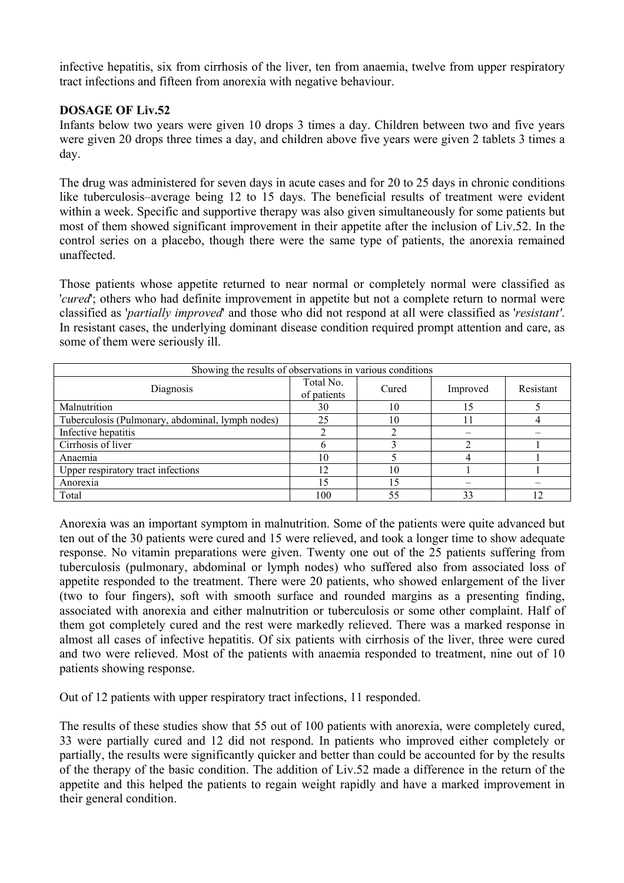infective hepatitis, six from cirrhosis of the liver, ten from anaemia, twelve from upper respiratory tract infections and fifteen from anorexia with negative behaviour.

## **DOSAGE OF Liv.52**

Infants below two years were given 10 drops 3 times a day. Children between two and five years were given 20 drops three times a day, and children above five years were given 2 tablets 3 times a day.

The drug was administered for seven days in acute cases and for 20 to 25 days in chronic conditions like tuberculosis–average being 12 to 15 days. The beneficial results of treatment were evident within a week. Specific and supportive therapy was also given simultaneously for some patients but most of them showed significant improvement in their appetite after the inclusion of Liv.52. In the control series on a placebo, though there were the same type of patients, the anorexia remained unaffected.

Those patients whose appetite returned to near normal or completely normal were classified as '*cured*'; others who had definite improvement in appetite but not a complete return to normal were classified as '*partially improved*' and those who did not respond at all were classified as '*resistant'*. In resistant cases, the underlying dominant disease condition required prompt attention and care, as some of them were seriously ill.

| Showing the results of observations in various conditions |                          |       |          |           |
|-----------------------------------------------------------|--------------------------|-------|----------|-----------|
| Diagnosis                                                 | Total No.<br>of patients | Cured | Improved | Resistant |
| Malnutrition                                              | 30                       | 10    | 15       |           |
| Tuberculosis (Pulmonary, abdominal, lymph nodes)          | 25                       | 10    |          |           |
| Infective hepatitis                                       |                          |       |          |           |
| Cirrhosis of liver                                        |                          |       |          |           |
| Anaemia                                                   | 10                       |       |          |           |
| Upper respiratory tract infections                        | 12                       | 10    |          |           |
| Anorexia                                                  |                          | 15    |          |           |
| Total                                                     | 100                      | 55    | 33       | 12        |

Anorexia was an important symptom in malnutrition. Some of the patients were quite advanced but ten out of the 30 patients were cured and 15 were relieved, and took a longer time to show adequate response. No vitamin preparations were given. Twenty one out of the 25 patients suffering from tuberculosis (pulmonary, abdominal or lymph nodes) who suffered also from associated loss of appetite responded to the treatment. There were 20 patients, who showed enlargement of the liver (two to four fingers), soft with smooth surface and rounded margins as a presenting finding, associated with anorexia and either malnutrition or tuberculosis or some other complaint. Half of them got completely cured and the rest were markedly relieved. There was a marked response in almost all cases of infective hepatitis. Of six patients with cirrhosis of the liver, three were cured and two were relieved. Most of the patients with anaemia responded to treatment, nine out of 10 patients showing response.

Out of 12 patients with upper respiratory tract infections, 11 responded.

The results of these studies show that 55 out of 100 patients with anorexia, were completely cured, 33 were partially cured and 12 did not respond. In patients who improved either completely or partially, the results were significantly quicker and better than could be accounted for by the results of the therapy of the basic condition. The addition of Liv.52 made a difference in the return of the appetite and this helped the patients to regain weight rapidly and have a marked improvement in their general condition.